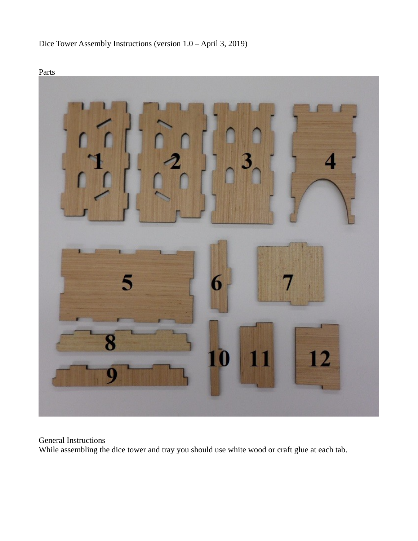





General Instructions While assembling the dice tower and tray you should use white wood or craft glue at each tab.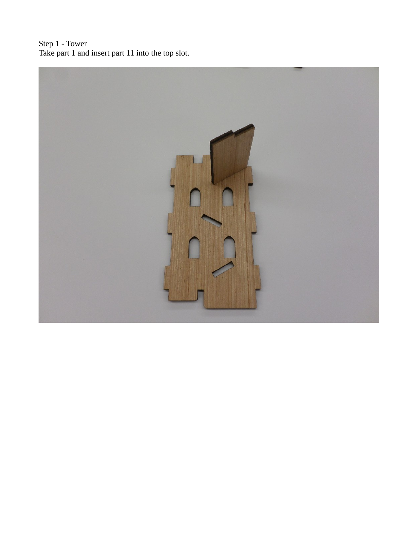Step 1 - Tower Take part 1 and insert part 11 into the top slot.

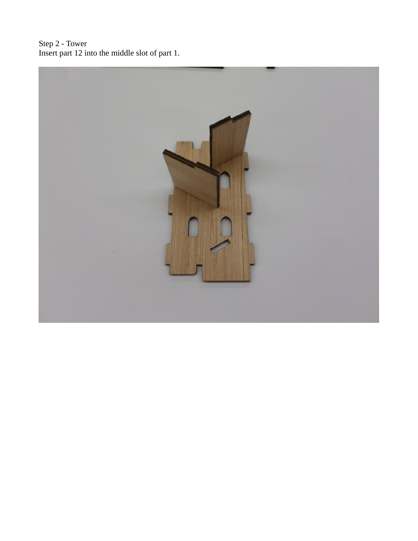Step 2 - Tower Insert part 12 into the middle slot of part 1.

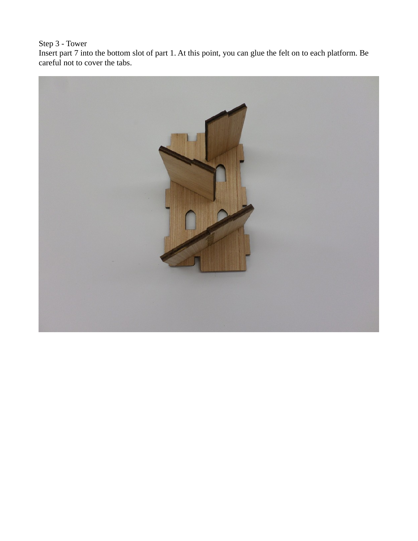## Step 3 - Tower

Insert part 7 into the bottom slot of part 1. At this point, you can glue the felt on to each platform. Be careful not to cover the tabs.

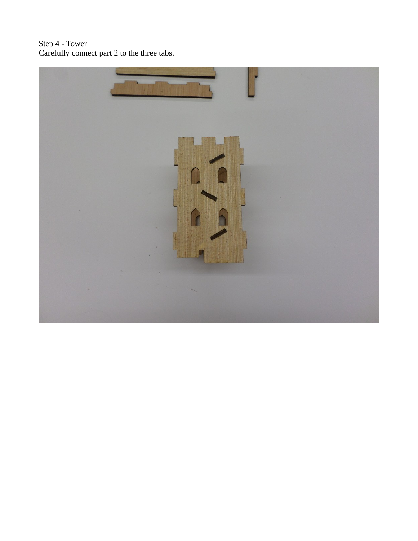## Step 4 - Tower Carefully connect part 2 to the three tabs.

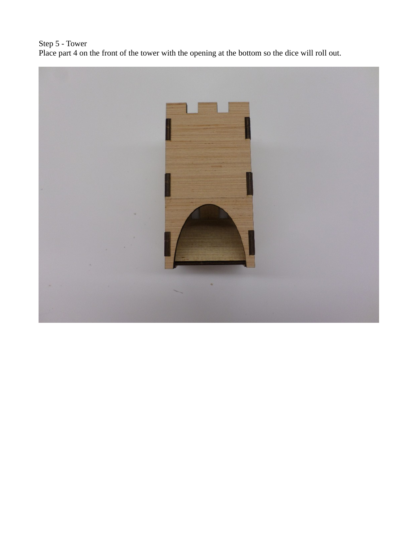Step 5 - Tower Place part 4 on the front of the tower with the opening at the bottom so the dice will roll out.

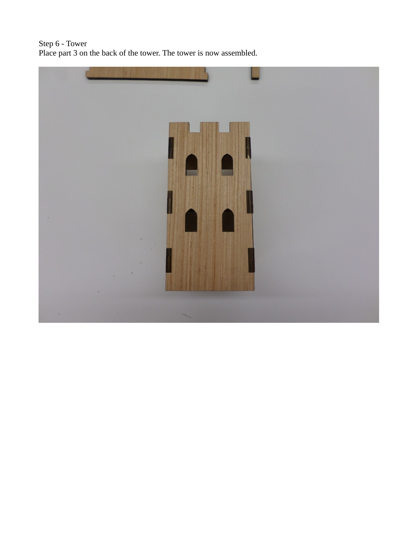Step 6 - Tower Place part 3 on the back of the tower. The tower is now assembled.

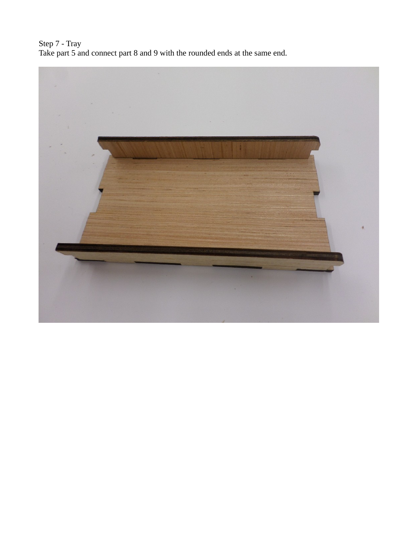Step 7 - Tray Take part 5 and connect part 8 and 9 with the rounded ends at the same end.